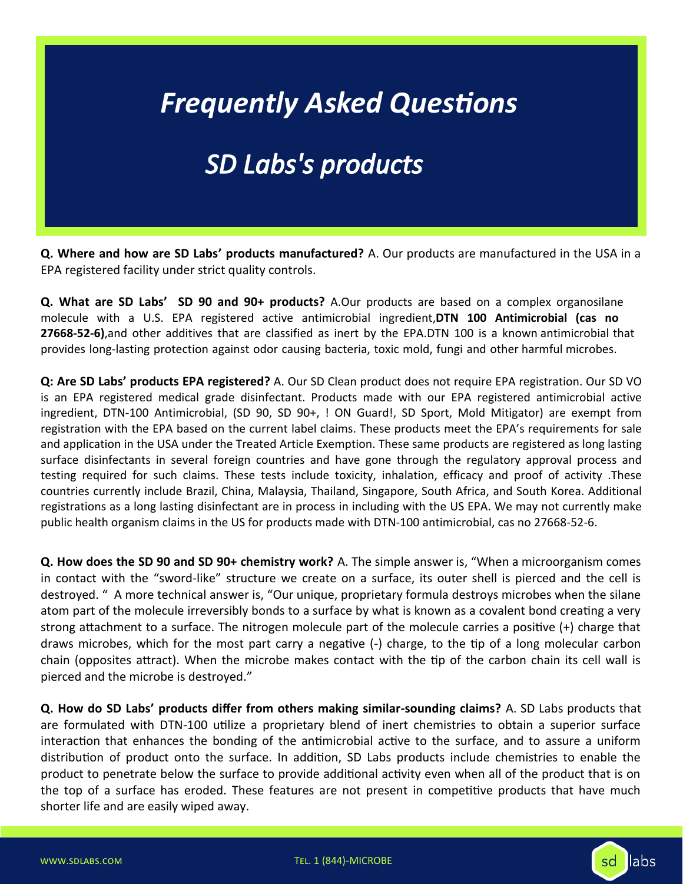### *Frequently Asked Questions*

#### *SD Labs's products*

**Q. Where and how are SD Labs' products manufactured?** A. Our products are manufactured in the USA in a EPA registered facility under strict quality controls.

**Q. What are SD Labs' SD 90 and 90+ products?** A.Our products are based on a complex organosilane molecule with a U.S. EPA registered active antimicrobial ingredient,**DTN 100 Antimicrobial (cas no 27668-52-6)**,and other additives that are classified as inert by the EPA.DTN 100 is a known antimicrobial that provides long-lasting protection against odor causing bacteria, toxic mold, fungi and other harmful microbes.

**Q: Are SD Labs' products EPA registered?** A. Our SD Clean product does not require EPA registration. Our SD VO is an EPA registered medical grade disinfectant. Products made with our EPA registered antimicrobial active ingredient, DTN-100 Antimicrobial, (SD 90, SD 90+, ! ON Guard!, SD Sport, Mold Mitigator) are exempt from registration with the EPA based on the current label claims. These products meet the EPA's requirements for sale and application in the USA under the Treated Article Exemption. These same products are registered as long lasting surface disinfectants in several foreign countries and have gone through the regulatory approval process and testing required for such claims. These tests include toxicity, inhalation, efficacy and proof of activity .These countries currently include Brazil, China, Malaysia, Thailand, Singapore, South Africa, and South Korea. Additional registrations as a long lasting disinfectant are in process in including with the US EPA. We may not currently make public health organism claims in the US for products made with DTN-100 antimicrobial, cas no 27668-52-6.

**Q. How does the SD 90 and SD 90+ chemistry work?** A. The simple answer is, "When a microorganism comes in contact with the "sword-like" structure we create on a surface, its outer shell is pierced and the cell is destroyed. " A more technical answer is, "Our unique, proprietary formula destroys microbes when the silane atom part of the molecule irreversibly bonds to a surface by what is known as a covalent bond creating a very strong attachment to a surface. The nitrogen molecule part of the molecule carries a positive (+) charge that draws microbes, which for the most part carry a negative (-) charge, to the tip of a long molecular carbon chain (opposites attract). When the microbe makes contact with the tip of the carbon chain its cell wall is pierced and the microbe is destroyed."

**Q. How do SD Labs' products differ from others making similar-sounding claims?** A. SD Labs products that are formulated with DTN-100 utilize a proprietary blend of inert chemistries to obtain a superior surface interaction that enhances the bonding of the antimicrobial active to the surface, and to assure a uniform distribution of product onto the surface. In addition, SD Labs products include chemistries to enable the product to penetrate below the surface to provide additional activity even when all of the product that is on the top of a surface has eroded. These features are not present in competitive products that have much shorter life and are easily wiped away.



sd

llabs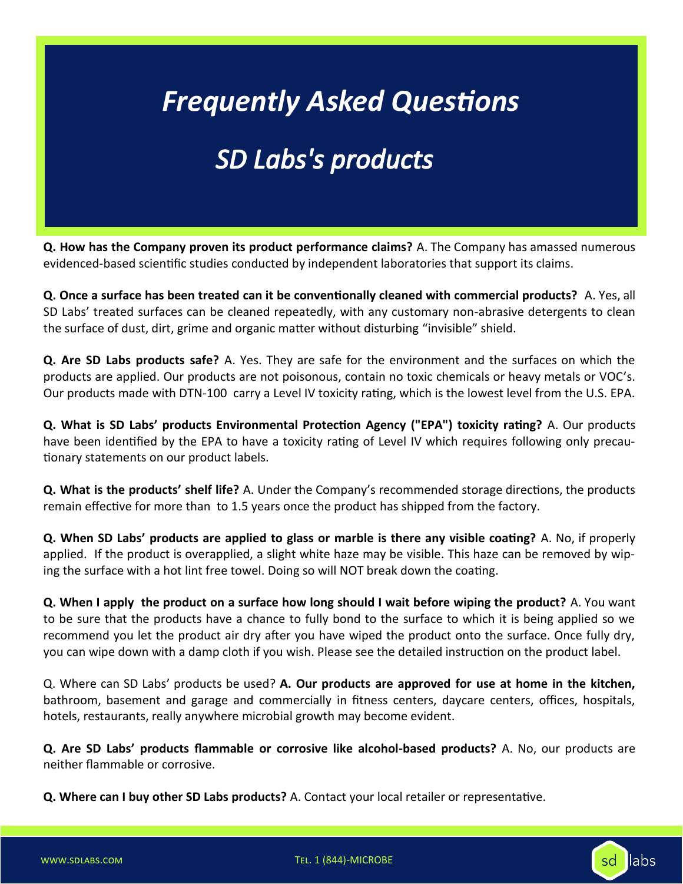## *Frequently Asked Questions*

#### *SD Labs's products*

**Q. How has the Company proven its product performance claims?** A. The Company has amassed numerous evidenced-based scientific studies conducted by independent laboratories that support its claims.

**Q. Once a surface has been treated can it be conventionally cleaned with commercial products?** A. Yes, all SD Labs' treated surfaces can be cleaned repeatedly, with any customary non-abrasive detergents to clean the surface of dust, dirt, grime and organic matter without disturbing "invisible" shield.

**Q. Are SD Labs products safe?** A. Yes. They are safe for the environment and the surfaces on which the products are applied. Our products are not poisonous, contain no toxic chemicals or heavy metals or VOC's. Our products made with DTN-100 carry a Level IV toxicity rating, which is the lowest level from the U.S. EPA.

**Q. What is SD Labs' products Environmental Protection Agency ("EPA") toxicity rating?** A. Our products have been identified by the EPA to have a toxicity rating of Level IV which requires following only precautionary statements on our product labels.

**Q. What is the products' shelf life?** A. Under the Company's recommended storage directions, the products remain effective for more than to 1.5 years once the product has shipped from the factory.

**Q. When SD Labs' products are applied to glass or marble is there any visible coating?** A. No, if properly applied. If the product is overapplied, a slight white haze may be visible. This haze can be removed by wiping the surface with a hot lint free towel. Doing so will NOT break down the coating.

**Q. When I apply the product on a surface how long should I wait before wiping the product?** A. You want to be sure that the products have a chance to fully bond to the surface to which it is being applied so we recommend you let the product air dry after you have wiped the product onto the surface. Once fully dry, you can wipe down with a damp cloth if you wish. Please see the detailed instruction on the product label.

Q. Where can SD Labs' products be used? **A. Our products are approved for use at home in the kitchen,**  bathroom, basement and garage and commercially in fitness centers, daycare centers, offices, hospitals, hotels, restaurants, really anywhere microbial growth may become evident.

**Q. Are SD Labs' products flammable or corrosive like alcohol-based products?** A. No, our products are neither flammable or corrosive.

**Q. Where can I buy other SD Labs products?** A. Contact your local retailer or representative.

15 www.sdlabs.com Tel. 1 (844)-MICROBE

sd

llabs